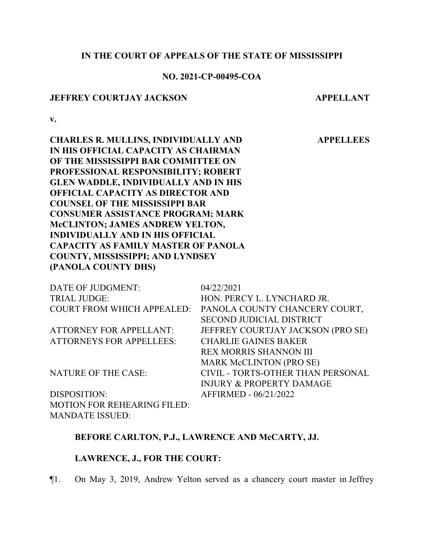# **IN THE COURT OF APPEALS OF THE STATE OF MISSISSIPPI**

# **NO. 2021-CP-00495-COA**

#### **JEFFREY COURTJAY JACKSON APPELLANT**

**APPELLEES**

**v.**

**CHARLES R. MULLINS, INDIVIDUALLY AND IN HIS OFFICIAL CAPACITY AS CHAIRMAN OF THE MISSISSIPPI BAR COMMITTEE ON PROFESSIONAL RESPONSIBILITY; ROBERT GLEN WADDLE, INDIVIDUALLY AND IN HIS OFFICIAL CAPACITY AS DIRECTOR AND COUNSEL OF THE MISSISSIPPI BAR CONSUMER ASSISTANCE PROGRAM; MARK McCLINTON; JAMES ANDREW YELTON, INDIVIDUALLY AND IN HIS OFFICIAL CAPACITY AS FAMILY MASTER OF PANOLA COUNTY, MISSISSIPPI; AND LYNDSEY (PANOLA COUNTY DHS)**

| DATE OF JUDGMENT:                  | 04/22/2021                          |
|------------------------------------|-------------------------------------|
| <b>TRIAL JUDGE:</b>                | HON. PERCY L. LYNCHARD JR.          |
| <b>COURT FROM WHICH APPEALED:</b>  | PANOLA COUNTY CHANCERY COURT,       |
|                                    | <b>SECOND JUDICIAL DISTRICT</b>     |
| <b>ATTORNEY FOR APPELLANT:</b>     | JEFFREY COURTJAY JACKSON (PRO SE)   |
| <b>ATTORNEYS FOR APPELLEES:</b>    | <b>CHARLIE GAINES BAKER</b>         |
|                                    | REX MORRIS SHANNON III              |
|                                    | <b>MARK McCLINTON (PRO SE)</b>      |
| <b>NATURE OF THE CASE:</b>         | CIVIL - TORTS-OTHER THAN PERSONAL   |
|                                    | <b>INJURY &amp; PROPERTY DAMAGE</b> |
| DISPOSITION:                       | AFFIRMED - 06/21/2022               |
| <b>MOTION FOR REHEARING FILED:</b> |                                     |

# **BEFORE CARLTON, P.J., LAWRENCE AND McCARTY, JJ.**

#### **LAWRENCE, J., FOR THE COURT:**

MANDATE ISSUED:

¶1. On May 3, 2019, Andrew Yelton served as a chancery court master in Jeffrey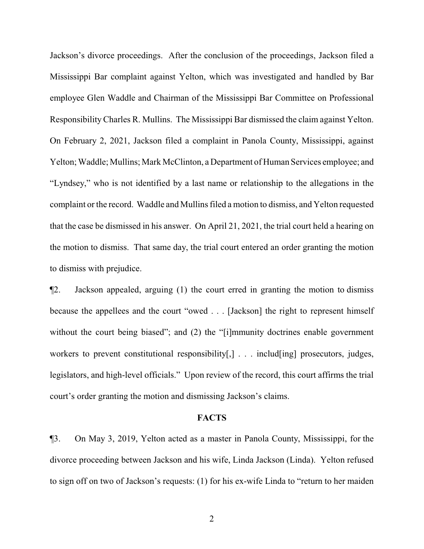Jackson's divorce proceedings. After the conclusion of the proceedings, Jackson filed a Mississippi Bar complaint against Yelton, which was investigated and handled by Bar employee Glen Waddle and Chairman of the Mississippi Bar Committee on Professional ResponsibilityCharles R. Mullins. The Mississippi Bar dismissed the claim against Yelton. On February 2, 2021, Jackson filed a complaint in Panola County, Mississippi, against Yelton; Waddle; Mullins; Mark McClinton, a Department of Human Services employee; and "Lyndsey," who is not identified by a last name or relationship to the allegations in the complaint or the record. Waddle and Mullins filed a motion to dismiss, and Yelton requested that the case be dismissed in his answer. On April 21, 2021, the trial court held a hearing on the motion to dismiss. That same day, the trial court entered an order granting the motion to dismiss with prejudice.

¶2. Jackson appealed, arguing (1) the court erred in granting the motion to dismiss because the appellees and the court "owed . . . [Jackson] the right to represent himself without the court being biased"; and (2) the "[i]mmunity doctrines enable government workers to prevent constitutional responsibility[,] . . . includ[ing] prosecutors, judges, legislators, and high-level officials." Upon review of the record, this court affirms the trial court's order granting the motion and dismissing Jackson's claims.

#### **FACTS**

¶3. On May 3, 2019, Yelton acted as a master in Panola County, Mississippi, for the divorce proceeding between Jackson and his wife, Linda Jackson (Linda). Yelton refused to sign off on two of Jackson's requests: (1) for his ex-wife Linda to "return to her maiden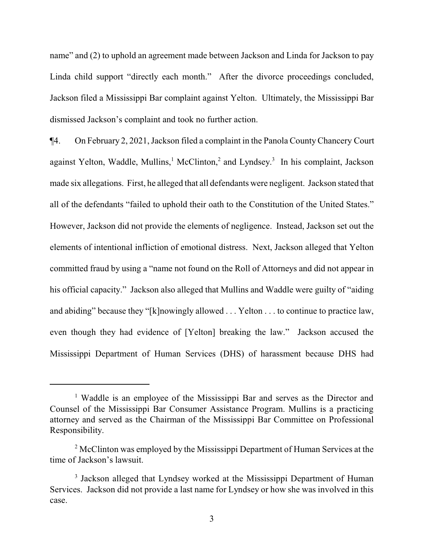name" and (2) to uphold an agreement made between Jackson and Linda for Jackson to pay Linda child support "directly each month." After the divorce proceedings concluded, Jackson filed a Mississippi Bar complaint against Yelton. Ultimately, the Mississippi Bar dismissed Jackson's complaint and took no further action.

¶4. On February 2, 2021, Jackson filed a complaint in the Panola CountyChancery Court against Yelton, Waddle, Mullins,<sup>1</sup> McClinton,<sup>2</sup> and Lyndsey.<sup>3</sup> In his complaint, Jackson made six allegations. First, he alleged that all defendants were negligent. Jackson stated that all of the defendants "failed to uphold their oath to the Constitution of the United States." However, Jackson did not provide the elements of negligence. Instead, Jackson set out the elements of intentional infliction of emotional distress. Next, Jackson alleged that Yelton committed fraud by using a "name not found on the Roll of Attorneys and did not appear in his official capacity." Jackson also alleged that Mullins and Waddle were guilty of "aiding and abiding" because they "[k]nowingly allowed . . . Yelton . . . to continue to practice law, even though they had evidence of [Yelton] breaking the law." Jackson accused the Mississippi Department of Human Services (DHS) of harassment because DHS had

<sup>&</sup>lt;sup>1</sup> Waddle is an employee of the Mississippi Bar and serves as the Director and Counsel of the Mississippi Bar Consumer Assistance Program. Mullins is a practicing attorney and served as the Chairman of the Mississippi Bar Committee on Professional Responsibility.

<sup>&</sup>lt;sup>2</sup> McClinton was employed by the Mississippi Department of Human Services at the time of Jackson's lawsuit.

<sup>&</sup>lt;sup>3</sup> Jackson alleged that Lyndsey worked at the Mississippi Department of Human Services. Jackson did not provide a last name for Lyndsey or how she was involved in this case.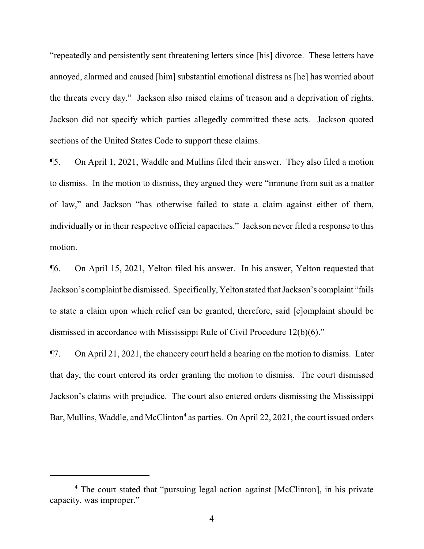"repeatedly and persistently sent threatening letters since [his] divorce. These letters have annoyed, alarmed and caused [him] substantial emotional distress as [he] has worried about the threats every day." Jackson also raised claims of treason and a deprivation of rights. Jackson did not specify which parties allegedly committed these acts. Jackson quoted sections of the United States Code to support these claims.

¶5. On April 1, 2021, Waddle and Mullins filed their answer. They also filed a motion to dismiss. In the motion to dismiss, they argued they were "immune from suit as a matter of law," and Jackson "has otherwise failed to state a claim against either of them, individually or in their respective official capacities." Jackson never filed a response to this motion.

¶6. On April 15, 2021, Yelton filed his answer. In his answer, Yelton requested that Jackson's complaint be dismissed. Specifically, Yelton stated that Jackson's complaint "fails to state a claim upon which relief can be granted, therefore, said [c]omplaint should be dismissed in accordance with Mississippi Rule of Civil Procedure 12(b)(6)."

¶7. On April 21, 2021, the chancery court held a hearing on the motion to dismiss. Later that day, the court entered its order granting the motion to dismiss. The court dismissed Jackson's claims with prejudice. The court also entered orders dismissing the Mississippi Bar, Mullins, Waddle, and McClinton<sup>4</sup> as parties. On April 22, 2021, the court issued orders

<sup>4</sup> The court stated that "pursuing legal action against [McClinton], in his private capacity, was improper."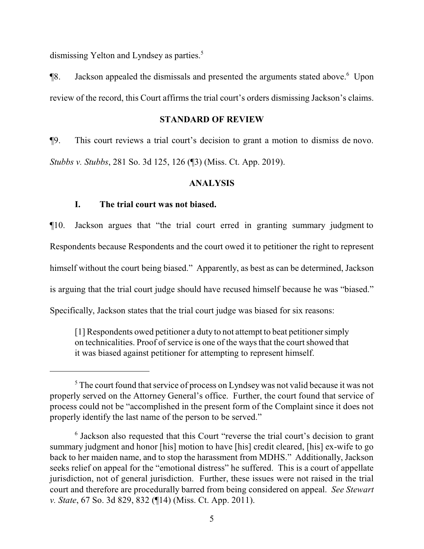dismissing Yelton and Lyndsey as parties.<sup>5</sup>

¶8. Jackson appealed the dismissals and presented the arguments stated above.<sup>6</sup> Upon review of the record, this Court affirms the trial court's orders dismissing Jackson's claims.

#### **STANDARD OF REVIEW**

¶9. This court reviews a trial court's decision to grant a motion to dismiss de novo. *Stubbs v. Stubbs*, 281 So. 3d 125, 126 (¶3) (Miss. Ct. App. 2019).

# **ANALYSIS**

# **I. The trial court was not biased.**

¶10. Jackson argues that "the trial court erred in granting summary judgment to Respondents because Respondents and the court owed it to petitioner the right to represent himself without the court being biased." Apparently, as best as can be determined, Jackson is arguing that the trial court judge should have recused himself because he was "biased." Specifically, Jackson states that the trial court judge was biased for six reasons:

[1] Respondents owed petitioner a duty to not attempt to beat petitioner simply on technicalities. Proof of service is one of the ways that the court showed that it was biased against petitioner for attempting to represent himself.

<sup>&</sup>lt;sup>5</sup> The court found that service of process on Lyndsey was not valid because it was not properly served on the Attorney General's office. Further, the court found that service of process could not be "accomplished in the present form of the Complaint since it does not properly identify the last name of the person to be served."

<sup>&</sup>lt;sup>6</sup> Jackson also requested that this Court "reverse the trial court's decision to grant summary judgment and honor [his] motion to have [his] credit cleared, [his] ex-wife to go back to her maiden name, and to stop the harassment from MDHS." Additionally, Jackson seeks relief on appeal for the "emotional distress" he suffered. This is a court of appellate jurisdiction, not of general jurisdiction. Further, these issues were not raised in the trial court and therefore are procedurally barred from being considered on appeal. *See Stewart v. State*, 67 So. 3d 829, 832 (¶14) (Miss. Ct. App. 2011).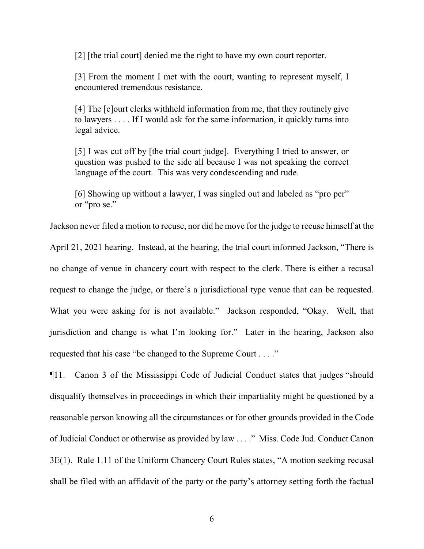[2] [the trial court] denied me the right to have my own court reporter.

[3] From the moment I met with the court, wanting to represent myself, I encountered tremendous resistance.

[4] The [c]ourt clerks withheld information from me, that they routinely give to lawyers . . . . If I would ask for the same information, it quickly turns into legal advice.

[5] I was cut off by [the trial court judge]. Everything I tried to answer, or question was pushed to the side all because I was not speaking the correct language of the court. This was very condescending and rude.

[6] Showing up without a lawyer, I was singled out and labeled as "pro per" or "pro se."

Jackson never filed a motion to recuse, nor did he move for the judge to recuse himself at the April 21, 2021 hearing. Instead, at the hearing, the trial court informed Jackson, "There is no change of venue in chancery court with respect to the clerk. There is either a recusal request to change the judge, or there's a jurisdictional type venue that can be requested. What you were asking for is not available." Jackson responded, "Okay. Well, that jurisdiction and change is what I'm looking for." Later in the hearing, Jackson also requested that his case "be changed to the Supreme Court . . . ."

¶11. Canon 3 of the Mississippi Code of Judicial Conduct states that judges "should disqualify themselves in proceedings in which their impartiality might be questioned by a reasonable person knowing all the circumstances or for other grounds provided in the Code of Judicial Conduct or otherwise as provided by law . . . ." Miss. Code Jud. Conduct Canon 3E(1). Rule 1.11 of the Uniform Chancery Court Rules states, "A motion seeking recusal shall be filed with an affidavit of the party or the party's attorney setting forth the factual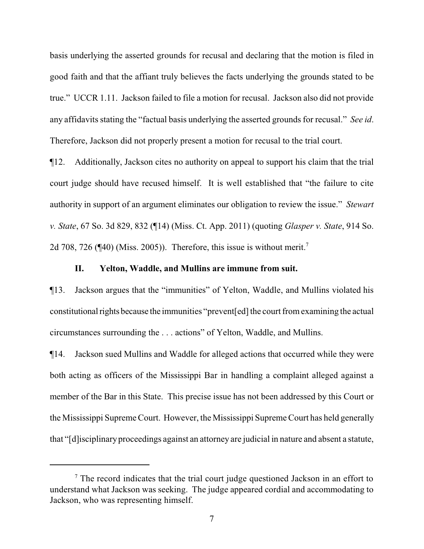basis underlying the asserted grounds for recusal and declaring that the motion is filed in good faith and that the affiant truly believes the facts underlying the grounds stated to be true." UCCR 1.11. Jackson failed to file a motion for recusal. Jackson also did not provide any affidavits stating the "factual basis underlying the asserted grounds for recusal." *See id*. Therefore, Jackson did not properly present a motion for recusal to the trial court.

¶12. Additionally, Jackson cites no authority on appeal to support his claim that the trial court judge should have recused himself. It is well established that "the failure to cite authority in support of an argument eliminates our obligation to review the issue." *Stewart v. State*, 67 So. 3d 829, 832 (¶14) (Miss. Ct. App. 2011) (quoting *Glasper v. State*, 914 So. 2d 708, 726 ( $\P$ 40) (Miss. 2005)). Therefore, this issue is without merit.<sup>7</sup>

# **II. Yelton, Waddle, and Mullins are immune from suit.**

¶13. Jackson argues that the "immunities" of Yelton, Waddle, and Mullins violated his constitutional rights because the immunities "prevent [ed] the court from examining the actual circumstances surrounding the . . . actions" of Yelton, Waddle, and Mullins.

¶14. Jackson sued Mullins and Waddle for alleged actions that occurred while they were both acting as officers of the Mississippi Bar in handling a complaint alleged against a member of the Bar in this State. This precise issue has not been addressed by this Court or the Mississippi Supreme Court. However, the Mississippi Supreme Court has held generally that "[d]isciplinary proceedings against an attorney are judicial in nature and absent a statute,

 $<sup>7</sup>$  The record indicates that the trial court judge questioned Jackson in an effort to</sup> understand what Jackson was seeking. The judge appeared cordial and accommodating to Jackson, who was representing himself.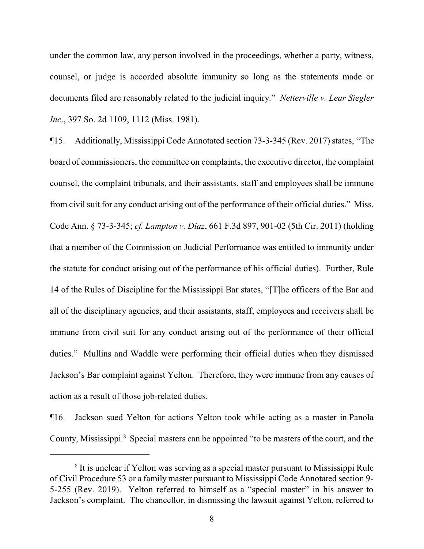under the common law, any person involved in the proceedings, whether a party, witness, counsel, or judge is accorded absolute immunity so long as the statements made or documents filed are reasonably related to the judicial inquiry." *Netterville v. Lear Siegler Inc*., 397 So. 2d 1109, 1112 (Miss. 1981).

¶15. Additionally, Mississippi Code Annotated section 73-3-345 (Rev. 2017) states, "The board of commissioners, the committee on complaints, the executive director, the complaint counsel, the complaint tribunals, and their assistants, staff and employees shall be immune from civil suit for any conduct arising out of the performance of their official duties." Miss. Code Ann. § 73-3-345; *cf. Lampton v. Diaz*, 661 F.3d 897, 901-02 (5th Cir. 2011) (holding that a member of the Commission on Judicial Performance was entitled to immunity under the statute for conduct arising out of the performance of his official duties). Further, Rule 14 of the Rules of Discipline for the Mississippi Bar states, "[T]he officers of the Bar and all of the disciplinary agencies, and their assistants, staff, employees and receivers shall be immune from civil suit for any conduct arising out of the performance of their official duties." Mullins and Waddle were performing their official duties when they dismissed Jackson's Bar complaint against Yelton. Therefore, they were immune from any causes of action as a result of those job-related duties.

¶16. Jackson sued Yelton for actions Yelton took while acting as a master in Panola County, Mississippi.<sup>8</sup> Special masters can be appointed "to be masters of the court, and the

<sup>&</sup>lt;sup>8</sup> It is unclear if Yelton was serving as a special master pursuant to Mississippi Rule of Civil Procedure 53 or a family master pursuant to Mississippi Code Annotated section 9- 5-255 (Rev. 2019). Yelton referred to himself as a "special master" in his answer to Jackson's complaint. The chancellor, in dismissing the lawsuit against Yelton, referred to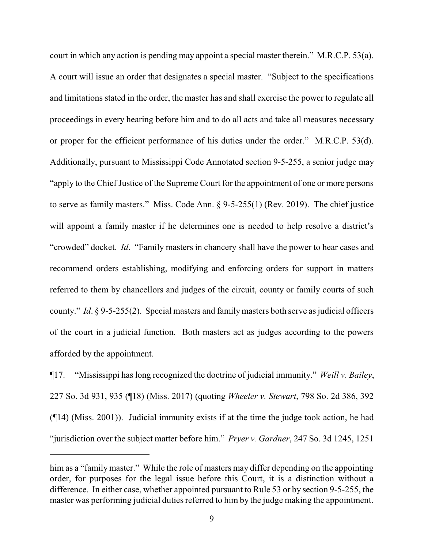court in which any action is pending may appoint a special master therein." M.R.C.P. 53(a). A court will issue an order that designates a special master. "Subject to the specifications and limitations stated in the order, the master has and shall exercise the power to regulate all proceedings in every hearing before him and to do all acts and take all measures necessary or proper for the efficient performance of his duties under the order." M.R.C.P. 53(d). Additionally, pursuant to Mississippi Code Annotated section 9-5-255, a senior judge may "apply to the Chief Justice of the Supreme Court for the appointment of one or more persons to serve as family masters." Miss. Code Ann. § 9-5-255(1) (Rev. 2019). The chief justice will appoint a family master if he determines one is needed to help resolve a district's "crowded" docket. *Id*. "Family masters in chancery shall have the power to hear cases and recommend orders establishing, modifying and enforcing orders for support in matters referred to them by chancellors and judges of the circuit, county or family courts of such county." *Id.* § 9-5-255(2). Special masters and family masters both serve as judicial officers of the court in a judicial function. Both masters act as judges according to the powers afforded by the appointment.

¶17. "Mississippi has long recognized the doctrine of judicial immunity." *Weill v. Bailey*, 227 So. 3d 931, 935 (¶18) (Miss. 2017) (quoting *Wheeler v. Stewart*, 798 So. 2d 386, 392 (¶14) (Miss. 2001)). Judicial immunity exists if at the time the judge took action, he had "jurisdiction over the subject matter before him." *Pryer v. Gardner*, 247 So. 3d 1245, 1251

him as a "family master." While the role of masters may differ depending on the appointing order, for purposes for the legal issue before this Court, it is a distinction without a difference. In either case, whether appointed pursuant to Rule 53 or by section 9-5-255, the master was performing judicial duties referred to him by the judge making the appointment.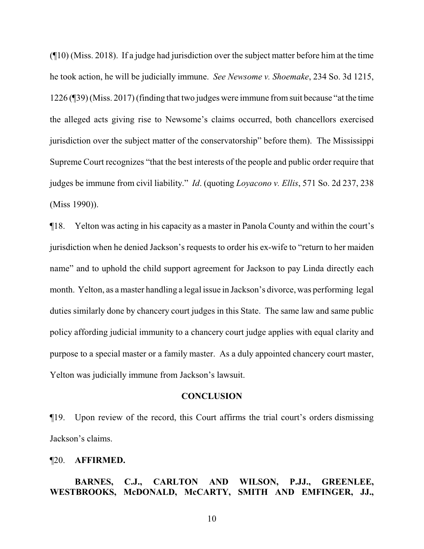(¶10) (Miss. 2018). If a judge had jurisdiction over the subject matter before him at the time he took action, he will be judicially immune. *See Newsome v. Shoemake*, 234 So. 3d 1215, 1226 (¶39) (Miss. 2017) (finding that two judges were immune fromsuit because "at the time the alleged acts giving rise to Newsome's claims occurred, both chancellors exercised jurisdiction over the subject matter of the conservatorship" before them). The Mississippi Supreme Court recognizes "that the best interests of the people and public order require that judges be immune from civil liability." *Id*. (quoting *Loyacono v. Ellis*, 571 So. 2d 237, 238 (Miss 1990)).

¶18. Yelton was acting in his capacity as a master in Panola County and within the court's jurisdiction when he denied Jackson's requests to order his ex-wife to "return to her maiden name" and to uphold the child support agreement for Jackson to pay Linda directly each month. Yelton, as a master handling a legal issue in Jackson's divorce, was performing legal duties similarly done by chancery court judges in this State. The same law and same public policy affording judicial immunity to a chancery court judge applies with equal clarity and purpose to a special master or a family master. As a duly appointed chancery court master, Yelton was judicially immune from Jackson's lawsuit.

#### **CONCLUSION**

¶19. Upon review of the record, this Court affirms the trial court's orders dismissing Jackson's claims.

#### ¶20. **AFFIRMED.**

# **BARNES, C.J., CARLTON AND WILSON, P.JJ., GREENLEE, WESTBROOKS, McDONALD, McCARTY, SMITH AND EMFINGER, JJ.,**

10